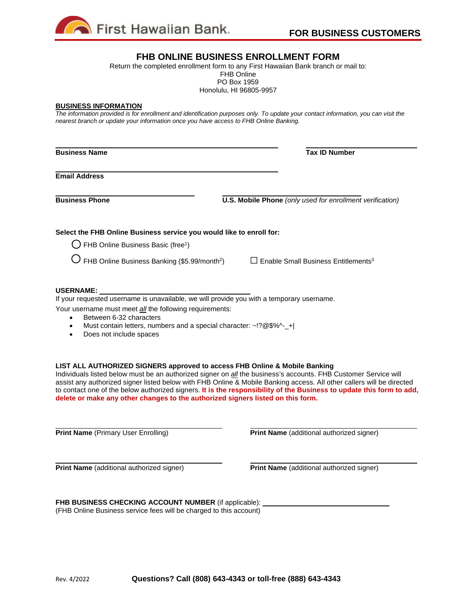

# **FHB ONLINE BUSINESS ENROLLMENT FORM**

Return the completed enrollment form to any First Hawaiian Bank branch or mail to: FHB Online PO Box 1959

Honolulu, HI 96805-9957

## **BUSINESS INFORMATION**

*The information provided is for enrollment and identification purposes only. To update your contact information, you can visit the nearest branch or update your information once you have access to FHB Online Banking.* 

**Business Name Tax ID Number Email Address Business Phone U.S. Mobile Phone** *(only used for enrollment verification)* **U.S. Select the FHB Online Business service you would like to enroll for:**  $\bigcirc$  FHB Online Business Basic (free<sup>1</sup>)

 $\bigcirc$  FHB Online Business Banking (\$5.99/month<sup>2</sup>)  $\Box$  Enable Small Business Entitlements<sup>3</sup>

#### **USERNAME:**

If your requested username is unavailable, we will provide you with a temporary username.

Your username must meet *all* the following requirements:

- Between 6-32 characters
- Must contain letters, numbers and a special character: ~!?@\$%^- +|
- Does not include spaces

## **LIST ALL AUTHORIZED SIGNERS approved to access FHB Online & Mobile Banking**

Individuals listed below must be an authorized signer on *all* the business's accounts. FHB Customer Service will assist any authorized signer listed below with FHB Online & Mobile Banking access. All other callers will be directed to contact one of the below authorized signers. **It is the responsibility of the Business to update this form to add, delete or make any other changes to the authorized signers listed on this form.**

**Print Name** (Primary User Enrolling) **Print Name** (additional authorized signer)

**Print Name** (additional authorized signer) **Print Name** (additional authorized signer)

**FHB BUSINESS CHECKING ACCOUNT NUMBER** (if applicable): (FHB Online Business service fees will be charged to this account)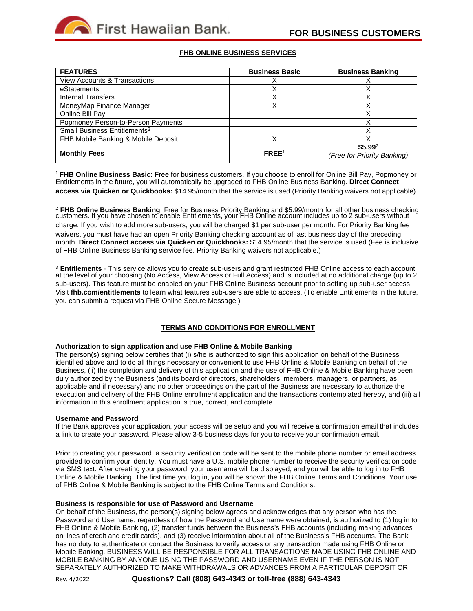

# **FHB ONLINE BUSINESS SERVICES**

| <b>FEATURES</b>                          | <b>Business Basic</b>  | <b>Business Banking</b>                  |
|------------------------------------------|------------------------|------------------------------------------|
| <b>View Accounts &amp; Transactions</b>  |                        |                                          |
| eStatements                              |                        |                                          |
| <b>Internal Transfers</b>                |                        |                                          |
| MoneyMap Finance Manager                 |                        |                                          |
| Online Bill Pay                          |                        |                                          |
| Popmoney Person-to-Person Payments       |                        |                                          |
| Small Business Entitlements <sup>3</sup> |                        |                                          |
| FHB Mobile Banking & Mobile Deposit      |                        |                                          |
| <b>Monthly Fees</b>                      | $F$ <sub>RFF</sub> $1$ | $$5.99^2$<br>(Free for Priority Banking) |

**<sup>1</sup>FHB Online Business Basic**: Free for business customers. If you choose to enroll for Online Bill Pay, Popmoney or Entitlements in the future, you will automatically be upgraded to FHB Online Business Banking. **Direct Connect access via Quicken or Quickbooks:** \$14.95/month that the service is used (Priority Banking waivers not applicable).

<sup>2</sup> **FHB Online Business Banking**: Free for Business Priority Banking and \$5.99/month for all other business checking<br>customers. If you have chosen to enable Entitlements, your FHB Online account includes up to 2 sub-users charge. If you wish to add more sub-users, you will be charged \$1 per sub-user per month. For Priority Banking fee waivers, you must have had an open Priority Banking checking account as of last business day of the preceding month. **Direct Connect access via Quicken or Quickbooks:** \$14.95/month that the service is used (Fee is inclusive of FHB Online Business Banking service fee. Priority Banking waivers not applicable.)

<sup>3</sup> **Entitlements** - This service allows you to create sub-users and grant restricted FHB Online access to each account at the level of your choosing (No Access, View Access or Full Access) and is included at no additional charge (up to 2 sub-users). This feature must be enabled on your FHB Online Business account prior to setting up sub-user access. Visit **fhb.com/entitlements** to learn what features sub-users are able to access. (To enable Entitlements in the future, you can submit a request via FHB Online Secure Message.)

# **TERMS AND CONDITIONS FOR ENROLLMENT**

#### **Authorization to sign application and use FHB Online & Mobile Banking**

The person(s) signing below certifies that (i) s/he is authorized to sign this application on behalf of the Business identified above and to do all things necessary or convenient to use FHB Online & Mobile Banking on behalf of the Business, (ii) the completion and delivery of this application and the use of FHB Online & Mobile Banking have been duly authorized by the Business (and its board of directors, shareholders, members, managers, or partners, as applicable and if necessary) and no other proceedings on the part of the Business are necessary to authorize the execution and delivery of the FHB Online enrollment application and the transactions contemplated hereby, and (iii) all information in this enrollment application is true, correct, and complete.

#### **Username and Password**

If the Bank approves your application, your access will be setup and you will receive a confirmation email that includes a link to create your password. Please allow 3-5 business days for you to receive your confirmation email.

Prior to creating your password, a security verification code will be sent to the mobile phone number or email address provided to confirm your identity. You must have a U.S. mobile phone number to receive the security verification code via SMS text. After creating your password, your username will be displayed, and you will be able to log in to FHB Online & Mobile Banking. The first time you log in, you will be shown the FHB Online Terms and Conditions. Your use of FHB Online & Mobile Banking is subject to the FHB Online Terms and Conditions.

#### **Business is responsible for use of Password and Username**

On behalf of the Business, the person(s) signing below agrees and acknowledges that any person who has the Password and Username, regardless of how the Password and Username were obtained, is authorized to (1) log in to FHB Online & Mobile Banking, (2) transfer funds between the Business's FHB accounts (including making advances on lines of credit and credit cards), and (3) receive information about all of the Business's FHB accounts. The Bank has no duty to authenticate or contact the Business to verify access or any transaction made using FHB Online or Mobile Banking. BUSINESS WILL BE RESPONSIBLE FOR ALL TRANSACTIONS MADE USING FHB ONLINE AND MOBILE BANKING BY ANYONE USING THE PASSWORD AND USERNAME EVEN IF THE PERSON IS NOT SEPARATELY AUTHORIZED TO MAKE WITHDRAWALS OR ADVANCES FROM A PARTICULAR DEPOSIT OR